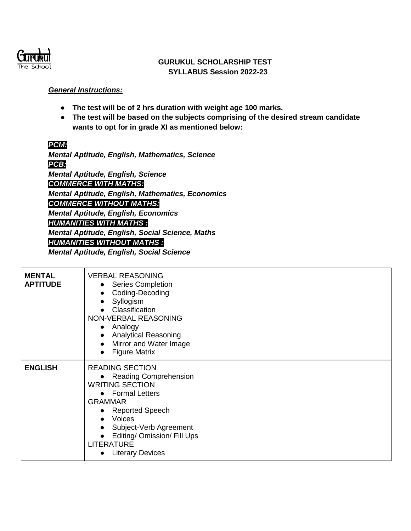

## **GURUKUL SCHOLARSHIP TEST SYLLABUS Session 2022-23**

## *General Instructions:*

- **The test will be of 2 hrs duration with weight age 100 marks.**
- **The test will be based on the subjects comprising of the desired stream candidate wants to opt for in grade XI as mentioned below:**

## *PCM:*

*Mental Aptitude, English, Mathematics, Science PCB: Mental Aptitude, English, Science COMMERCE WITH MATHS: Mental Aptitude, English, Mathematics, Economics COMMERCE WITHOUT MATHS: Mental Aptitude, English, Economics HUMANITIES WITH MATHS : Mental Aptitude, English, Social Science, Maths HUMANITIES WITHOUT MATHS :* 

*Mental Aptitude, English, Social Science*

| <b>MENTAL</b><br><b>APTITUDE</b> | <b>VERBAL REASONING</b><br><b>Series Completion</b><br>$\bullet$<br>Coding-Decoding<br>$\bullet$<br>Syllogism<br>Classification<br>NON-VERBAL REASONING<br>Analogy<br>$\bullet$<br><b>Analytical Reasoning</b><br>Mirror and Water Image<br>$\bullet$<br><b>Figure Matrix</b><br>$\bullet$            |
|----------------------------------|-------------------------------------------------------------------------------------------------------------------------------------------------------------------------------------------------------------------------------------------------------------------------------------------------------|
| <b>ENGLISH</b>                   | <b>READING SECTION</b><br>• Reading Comprehension<br><b>WRITING SECTION</b><br>• Formal Letters<br><b>GRAMMAR</b><br><b>Reported Speech</b><br>$\bullet$<br>Voices<br>$\bullet$<br>Subject-Verb Agreement<br>Editing/ Omission/ Fill Ups<br>$\bullet$<br><b>LITERATURE</b><br><b>Literary Devices</b> |